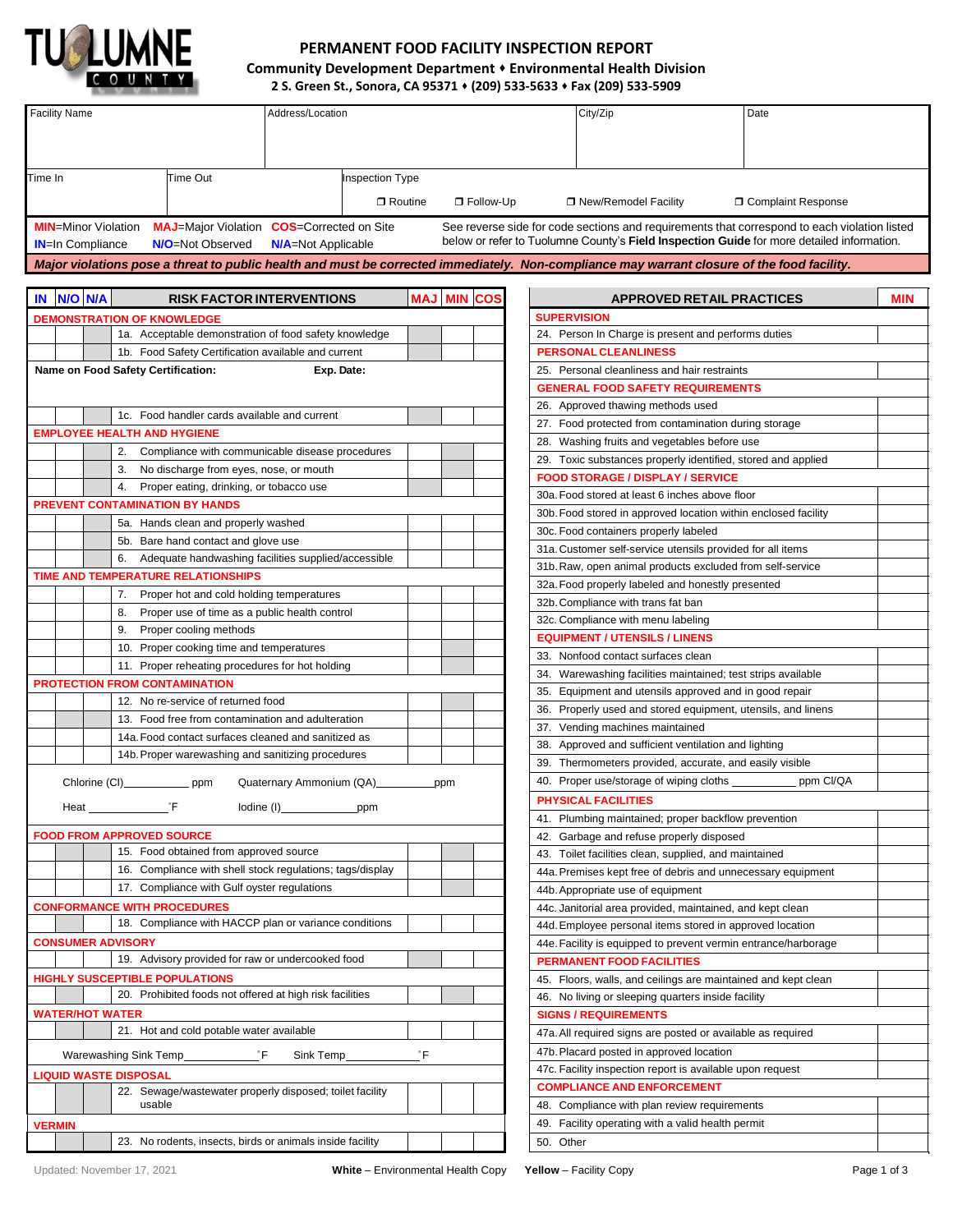

## **PERMANENT FOOD FACILITY INSPECTION REPORT Community Development Department** ⬧ **Environmental Health Division 2 S. Green St., Sonora, CA 95371** ⬧ **(209) 533-5633** ⬧ **Fax (209) 533-5909**

| <b>Facility Name</b><br>Address/Location                                                                                                    |     |                    | City/Zip<br>Date                                                                                                                                                                          |            |
|---------------------------------------------------------------------------------------------------------------------------------------------|-----|--------------------|-------------------------------------------------------------------------------------------------------------------------------------------------------------------------------------------|------------|
|                                                                                                                                             |     |                    |                                                                                                                                                                                           |            |
|                                                                                                                                             |     |                    |                                                                                                                                                                                           |            |
|                                                                                                                                             |     |                    |                                                                                                                                                                                           |            |
| Time Out<br><b>Inspection Type</b><br>Time In                                                                                               |     |                    |                                                                                                                                                                                           |            |
| □ Routine                                                                                                                                   |     | □ Follow-Up        | □ New/Remodel Facility<br><b>O</b> Complaint Response                                                                                                                                     |            |
|                                                                                                                                             |     |                    |                                                                                                                                                                                           |            |
| <b>MIN=Minor Violation</b><br><b>MAJ</b> =Major Violation <b>COS</b> =Corrected on Site                                                     |     |                    | See reverse side for code sections and requirements that correspond to each violation listed<br>below or refer to Tuolumne County's Field Inspection Guide for more detailed information. |            |
| <b>IN=In Compliance</b><br>N/O=Not Observed<br><b>N/A</b> =Not Applicable                                                                   |     |                    |                                                                                                                                                                                           |            |
| Major violations pose a threat to public health and must be corrected immediately. Non-compliance may warrant closure of the food facility. |     |                    |                                                                                                                                                                                           |            |
|                                                                                                                                             |     |                    |                                                                                                                                                                                           |            |
| IN NO NA<br><b>RISK FACTOR INTERVENTIONS</b>                                                                                                |     | <b>MAJ MIN COS</b> | <b>APPROVED RETAIL PRACTICES</b>                                                                                                                                                          | <b>MIN</b> |
| <b>DEMONSTRATION OF KNOWLEDGE</b>                                                                                                           |     |                    | <b>SUPERVISION</b>                                                                                                                                                                        |            |
| 1a. Acceptable demonstration of food safety knowledge                                                                                       |     |                    | 24. Person In Charge is present and performs duties                                                                                                                                       |            |
| 1b. Food Safety Certification available and current                                                                                         |     |                    | <b>PERSONAL CLEANLINESS</b>                                                                                                                                                               |            |
| Name on Food Safety Certification:<br>Exp. Date:                                                                                            |     |                    | 25. Personal cleanliness and hair restraints                                                                                                                                              |            |
|                                                                                                                                             |     |                    | <b>GENERAL FOOD SAFETY REQUIREMENTS</b>                                                                                                                                                   |            |
| 1c. Food handler cards available and current                                                                                                |     |                    | 26. Approved thawing methods used                                                                                                                                                         |            |
| <b>EMPLOYEE HEALTH AND HYGIENE</b>                                                                                                          |     |                    | 27. Food protected from contamination during storage                                                                                                                                      |            |
| 2. Compliance with communicable disease procedures                                                                                          |     |                    | 28. Washing fruits and vegetables before use                                                                                                                                              |            |
|                                                                                                                                             |     |                    | 29. Toxic substances properly identified, stored and applied                                                                                                                              |            |
| 3. No discharge from eyes, nose, or mouth                                                                                                   |     |                    | <b>FOOD STORAGE / DISPLAY / SERVICE</b>                                                                                                                                                   |            |
| Proper eating, drinking, or tobacco use<br>4.<br><b>PREVENT CONTAMINATION BY HANDS</b>                                                      |     |                    | 30a. Food stored at least 6 inches above floor                                                                                                                                            |            |
|                                                                                                                                             |     |                    | 30b. Food stored in approved location within enclosed facility                                                                                                                            |            |
| 5a. Hands clean and properly washed                                                                                                         |     |                    | 30c. Food containers properly labeled                                                                                                                                                     |            |
| 5b. Bare hand contact and glove use                                                                                                         |     |                    | 31a. Customer self-service utensils provided for all items                                                                                                                                |            |
| 6. Adequate handwashing facilities supplied/accessible                                                                                      |     |                    | 31b. Raw, open animal products excluded from self-service                                                                                                                                 |            |
| TIME AND TEMPERATURE RELATIONSHIPS                                                                                                          |     |                    | 32a. Food properly labeled and honestly presented                                                                                                                                         |            |
| 7. Proper hot and cold holding temperatures                                                                                                 |     |                    | 32b. Compliance with trans fat ban                                                                                                                                                        |            |
| Proper use of time as a public health control<br>8.                                                                                         |     |                    | 32c. Compliance with menu labeling                                                                                                                                                        |            |
| Proper cooling methods<br>9.                                                                                                                |     |                    | <b>EQUIPMENT / UTENSILS / LINENS</b>                                                                                                                                                      |            |
| 10. Proper cooking time and temperatures                                                                                                    |     |                    | 33. Nonfood contact surfaces clean                                                                                                                                                        |            |
| 11. Proper reheating procedures for hot holding                                                                                             |     |                    | 34. Warewashing facilities maintained; test strips available                                                                                                                              |            |
| <b>PROTECTION FROM CONTAMINATION</b>                                                                                                        |     |                    | 35. Equipment and utensils approved and in good repair                                                                                                                                    |            |
| 12. No re-service of returned food                                                                                                          |     |                    | 36. Properly used and stored equipment, utensils, and linens                                                                                                                              |            |
| 13. Food free from contamination and adulteration                                                                                           |     |                    | 37. Vending machines maintained                                                                                                                                                           |            |
| 14a. Food contact surfaces cleaned and sanitized as                                                                                         |     |                    | 38. Approved and sufficient ventilation and lighting                                                                                                                                      |            |
| 14b. Proper warewashing and sanitizing procedures                                                                                           |     |                    | 39. Thermometers provided, accurate, and easily visible                                                                                                                                   |            |
| Quaternary Ammonium (QA)<br>Chlorine (CI) _______________ ppm                                                                               | ppm |                    | 40. Proper use/storage of wiping cloths<br>ppm Cl/QA                                                                                                                                      |            |
| °F<br>Iodine (I)<br>Heat<br>ppm                                                                                                             |     |                    | PHYSICAL FACILITIES                                                                                                                                                                       |            |
|                                                                                                                                             |     |                    | 41. Plumbing maintained; proper backflow prevention                                                                                                                                       |            |
| <b>FOOD FROM APPROVED SOURCE</b>                                                                                                            |     |                    | 42. Garbage and refuse properly disposed                                                                                                                                                  |            |
| 15. Food obtained from approved source                                                                                                      |     |                    | 43. Toilet facilities clean, supplied, and maintained                                                                                                                                     |            |
| 16. Compliance with shell stock regulations; tags/display                                                                                   |     |                    | 44a. Premises kept free of debris and unnecessary equipment                                                                                                                               |            |
| 17. Compliance with Gulf oyster regulations                                                                                                 |     |                    | 44b. Appropriate use of equipment                                                                                                                                                         |            |
| <b>CONFORMANCE WITH PROCEDURES</b>                                                                                                          |     |                    | 44c. Janitorial area provided, maintained, and kept clean                                                                                                                                 |            |
| 18. Compliance with HACCP plan or variance conditions                                                                                       |     |                    | 44d. Employee personal items stored in approved location                                                                                                                                  |            |
| <b>CONSUMER ADVISORY</b>                                                                                                                    |     |                    | 44e. Facility is equipped to prevent vermin entrance/harborage                                                                                                                            |            |
| 19. Advisory provided for raw or undercooked food                                                                                           |     |                    | PERMANENT FOOD FACILITIES                                                                                                                                                                 |            |
| <b>HIGHLY SUSCEPTIBLE POPULATIONS</b>                                                                                                       |     |                    | 45. Floors, walls, and ceilings are maintained and kept clean                                                                                                                             |            |
| 20. Prohibited foods not offered at high risk facilities                                                                                    |     |                    | 46. No living or sleeping quarters inside facility                                                                                                                                        |            |
| WATER/HOT WATER                                                                                                                             |     |                    | <b>SIGNS / REQUIREMENTS</b>                                                                                                                                                               |            |
| 21. Hot and cold potable water available                                                                                                    |     |                    | 47a. All required signs are posted or available as required                                                                                                                               |            |
| Warewashing Sink Temp__________<br>°F                                                                                                       | οF  |                    | 47b. Placard posted in approved location                                                                                                                                                  |            |
| Sink Temp                                                                                                                                   |     |                    | 47c. Facility inspection report is available upon request                                                                                                                                 |            |
| <b>LIQUID WASTE DISPOSAL</b>                                                                                                                |     |                    | <b>COMPLIANCE AND ENFORCEMENT</b>                                                                                                                                                         |            |
| 22. Sewage/wastewater properly disposed; toilet facility<br>usable                                                                          |     |                    | 48. Compliance with plan review requirements                                                                                                                                              |            |
| <b>VERMIN</b>                                                                                                                               |     |                    | 49. Facility operating with a valid health permit                                                                                                                                         |            |
| 23. No rodents, insects, birds or animals inside facility                                                                                   |     |                    | 50. Other                                                                                                                                                                                 |            |
|                                                                                                                                             |     |                    |                                                                                                                                                                                           |            |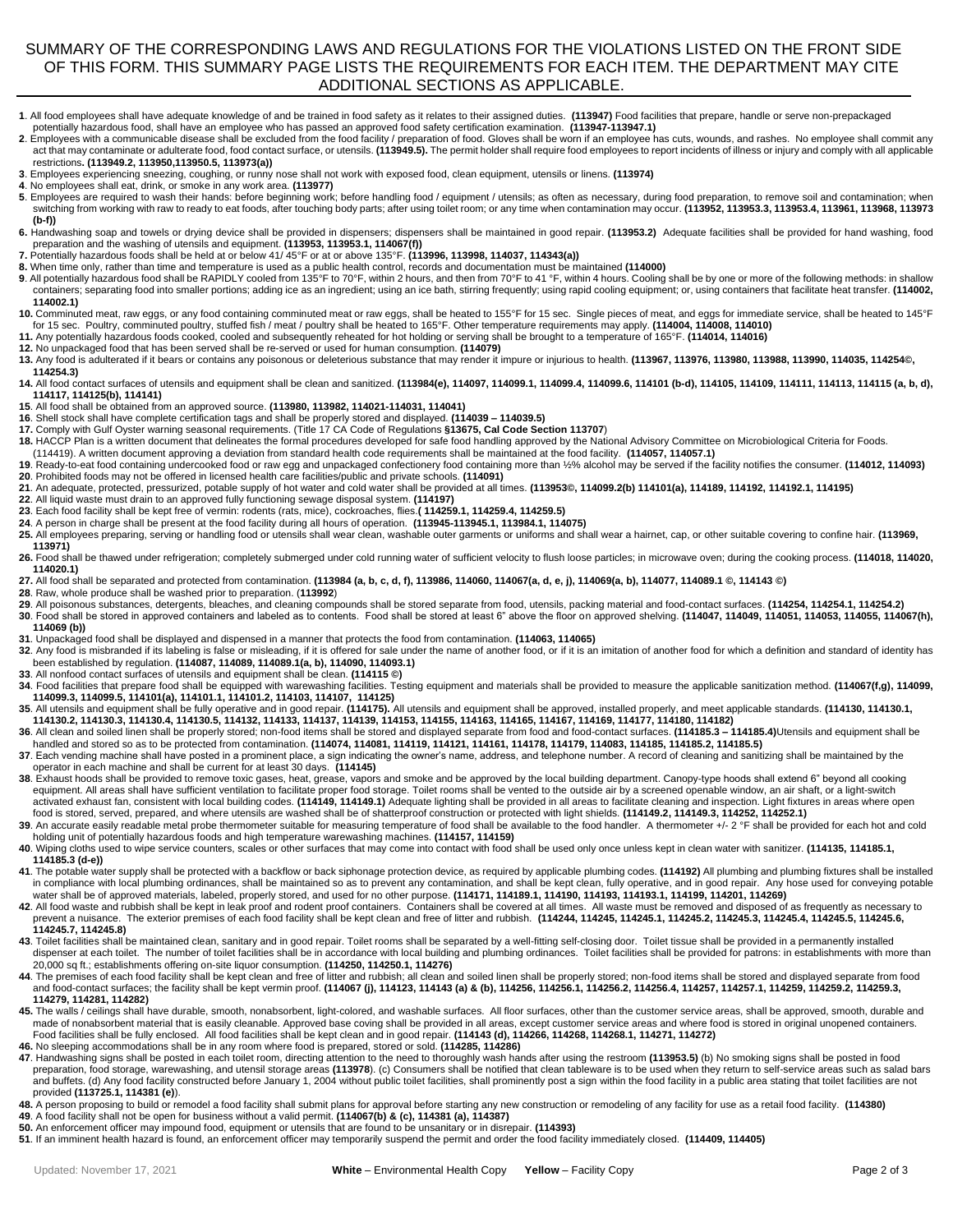## SUMMARY OF THE CORRESPONDING LAWS AND REGULATIONS FOR THE VIOLATIONS LISTED ON THE FRONT SIDE OF THIS FORM. THIS SUMMARY PAGE LISTS THE REQUIREMENTS FOR EACH ITEM. THE DEPARTMENT MAY CITE ADDITIONAL SECTIONS AS APPLICABLE.

- **1**. All food employees shall have adequate knowledge of and be trained in food safety as it relates to their assigned duties. **(113947)** Food facilities that prepare, handle or serve non-prepackaged
- potentially hazardous food, shall have an employee who has passed an approved food safety certification examination. (113947-113947-113947)<br>2. Employees with a communicable disease shall be excluded from the food facility act that may contaminate or adulterate food, food contact surface, or utensils. **(113949.5).** The permit holder shall require food employees to report incidents of illness or injury and comply with all applicable restrictions**. (113949.2, 113950,113950.5, 113973(a))**
- 3. Employees experiencing sneezing, coughing, or runny nose shall not work with exposed food, clean equipment, utensils or linens. **(113974)**<br>4. No employees shall eat, drink, or smoke in any work area. **(113977)**
- 

**5**. Employees are required to wash their hands: before beginning work; before handling food / equipment / utensils; as often as necessary, during food preparation, to remove soil and contamination; when switching from working with raw to ready to eat foods, after touching body parts; after using toilet room; or any time when contamination may occur. **(113952, 113953.3, 113953.4, 113961, 113968, 113973 (b-f))** 

6. Handwashing soap and towels or drying device shall be provided in dispensers; dispensers shall be maintained in good repair. (113953.2) Adequate facilities shall be provided for hand washing, food<br>preparation and the wa

- 
- **8.** When time only, rather than time and temperature is used as a public health control, records and documentation must be maintained **(114000)**
- **9**. All potentially hazardous food shall be RAPIDLY cooled from 135°F to 70°F, within 2 hours, and then from 70°F to 41 °F, within 4 hours. Cooling shall be by one or more of the following methods: in shallow containers; separating food into smaller portions; adding ice as an ingredient; using an ice bath, stirring frequently; using rapid cooling equipment; or, using containers that facilitate heat transfer. **(114002, 114002.1)**
- 10. Comminuted meat, raw eggs, or any food containing comminuted meat or raw eggs, shall be heated to 155°F for 15 sec. Single pieces of meat, and eggs for immediate service, shall be heated to 145°F<br>for 15 sec. Poultry, c
- **11.** Any potentially hazardous foods cooked, cooled and subsequently reheated for hot holding or serving shall be brought to a temperature of 165°F. **(114014, 114016)**
- **12.** No unpackaged food that has been served shall be re-served or used for human consumption. **(114079)**
- **13.** Any food is adulterated if it bears or contains any poisonous or deleterious substance that may render it impure or injurious to health. **(113967, 113976, 113980, 113988, 113990, 114035, 114254©, 114254.3)**
- **14.** All food contact surfaces of utensils and equipment shall be clean and sanitized. **(113984(e), 114097, 114099.1, 114099.4, 114099.6, 114101 (b-d), 114105, 114109, 114111, 114113, 114115 (a, b, d), 114117, 114125(b), 114141)**
- **15**. All food shall be obtained from an approved source. **(113980, 113982, 114021-114031, 114041)**
- **16**. Shell stock shall have complete certification tags and shall be properly stored and displayed. **(114039 – 114039.5)**
- **17.** Comply with Gulf Oyster warning seasonal requirements. (Title 17 CA Code of Regulations **§13675, Cal Code Section 113707**)
- 18. HACCP Plan is a written document that delineates the formal procedures developed for safe food handling approved by the National Advisory Committee on Microbiological Criteria for Foods.
- (114419). A written document approving a deviation from standard health code requirements shall be maintained at the food facility. **(114057, 114057.1)**
- 19. Ready-to-eat food containing undercooked food or raw egg and unpackaged confectionery food containing more than 1⁄2% alcohol may be served if the facility notifies the consumer. (114012, 114093)<br>20. Prohibited foods ma
- **21**. An adequate, protected, pressurized, potable supply of hot water and cold water shall be provided at all times. **(113953©, 114099.2(b) 114101(a), 114189, 114192, 114192.1, 114195)**
- **22**. All liquid waste must drain to an approved fully functioning sewage disposal system. **(114197)**
- 23. Each food facility shall be kept free of vermin: rodents (rats, mice), cockroaches, flies.(114259.1, 114259.4, 114259.5)<br>24. A person in charge shall be present at the food facility during all hours of operation. (1139
- 
- **25.** All employees preparing, serving or handling food or utensils shall wear clean, washable outer garments or uniforms and shall wear a hairnet, cap, or other suitable covering to confine hair. **(113969, 113971)**
- **26.** Food shall be thawed under refrigeration; completely submerged under cold running water of sufficient velocity to flush loose particles; in microwave oven; during the cooking process. **(114018, 114020, 114020.1)**
- **27.** All food shall be separated and protected from contamination. **(113984 (a, b, c, d, f), 113986, 114060, 114067(a, d, e, j), 114069(a, b), 114077, 114089.1 ©, 114143 ©)**
- **28**. Raw, whole produce shall be washed prior to preparation. (**113992**)
- **29**. All poisonous substances, detergents, bleaches, and cleaning compounds shall be stored separate from food, utensils, packing material and food-contact surfaces. **(114254, 114254.1, 114254.2)**
- **30**. Food shall be stored in approved containers and labeled as to contents. Food shall be stored at least 6" above the floor on approved shelving. **(114047, 114049, 114051, 114053, 114055, 114067(h), 114069 (b))**
- **31**. Unpackaged food shall be displayed and dispensed in a manner that protects the food from contamination. **(114063, 114065)**
- 32. Any food is misbranded if its labeling is false or misleading, if it is offered for sale under the name of another food, or if it is an imitation of another food for which a definition and standard of identity has<br>been
- **33**. All nonfood contact surfaces of utensils and equipment shall be clean. **(114115 ©)**
- **34**. Food facilities that prepare food shall be equipped with warewashing facilities. Testing equipment and materials shall be provided to measure the applicable sanitization method. **(114067(f,g), 114099, 114099.3, 114099.5, 114101(a), 114101.1, 114101.2, 114103, 114107, 114125)**
- **35**. All utensils and equipment shall be fully operative and in good repair. **(114175).** All utensils and equipment shall be approved, installed properly, and meet applicable standards. **(114130, 114130.1,**
- 114130.3, 114130.4, 114130.5, 114133, 114137, 114137, 114139, 114139, 114139, 114139, 114139, 114139, 114153, 114155, 114165, 114165, 114167, 114169, 114177, 114180, 114182)<br>36. All clean and soiled linen shall be properly
- **37**. Each vending machine shall have posted in a prominent place, a sign indicating the owner's name, address, and telephone number. A record of cleaning and sanitizing shall be maintained by the operator in each machine and shall be current for at least 30 days. **(114145)**
- **38**. Exhaust hoods shall be provided to remove toxic gases, heat, grease, vapors and smoke and be approved by the local building department. Canopy-type hoods shall extend 6" beyond all cooking equipment. All areas shall have sufficient ventilation to facilitate proper food storage. Toilet rooms shall be vented to the outside air by a screened openable window, an air shaft, or a light-switch<br>activated exhaust fan
- 39. An accurate easily readable metal probe thermometer suitable for measuring temperature of food shall be available to the food handler. A thermometer +/- 2 °F shall be provided for each hot and cold holding unit of potentially hazardous foods and high temperature warewashing machines. **(114157, 114159)**
- **40**. Wiping cloths used to wipe service counters, scales or other surfaces that may come into contact with food shall be used only once unless kept in clean water with sanitizer. **(114135, 114185.1, 114185.3 (d-e))**
- **41**. The potable water supply shall be protected with a backflow or back siphonage protection device, as required by applicable plumbing codes. **(114192)** All plumbing and plumbing fixtures shall be installed in compliance with local plumbing ordinances, shall be maintained so as to prevent any contamination, and shall be kept clean, fully operative, and in good repair. Any hose used for conveying potable water shall be of approved materials, labeled, properly stored, and used for no other purpose. **(114171, 114189.1, 114190, 114193, 114193.1, 114199, 114201, 114269)**
- **42**. All food waste and rubbish shall be kept in leak proof and rodent proof containers. Containers shall be covered at all times. All waste must be removed and disposed of as frequently as necessary to prevent a nuisance. The exterior premises of each food facility shall be kept clean and free of litter and rubbish. (114244, 114245, 114245.1, 114245.2, 114245.3, 114245.4, 114245.5, 114245.3, 114245.3, 114245.5, 114245.5, **114245.7, 114245.8)**
- **43**. Toilet facilities shall be maintained clean, sanitary and in good repair. Toilet rooms shall be separated by a well-fitting self-closing door. Toilet tissue shall be provided in a permanently installed dispenser at each toilet. The number of toilet facilities shall be in accordance with local building and plumbing ordinances. Toilet facilities shall be provided for patrons: in establishments with more than 20,000 sq ft.; establishments offering on-site liquor consumption. **(114250, 114250.1, 114276)**
- **44**. The premises of each food facility shall be kept clean and free of litter and rubbish; all clean and soiled linen shall be properly stored; non-food items shall be stored and displayed separate from food and food-contact surfaces; the facility shall be kept vermin proof. (114067 (j), 114123, 114143 (a) & (b), 114256.1, 114256.1, 114256.2, 114256.4, 114257, 114257.1, 114259.1, 114259.2, 114258.3, **114279, 114281, 114282)**
- **45.** The walls / ceilings shall have durable, smooth, nonabsorbent, light-colored, and washable surfaces. All floor surfaces, other than the customer service areas, shall be approved, smooth, durable and made of nonabsorbent material that is easily cleanable. Approved base coving shall be provided in all areas, except customer service areas and where food is stored in original unopened containers. Food facilities shall be fully enclosed. All food facilities shall be kept clean and in good repair. **(114143 (d), 114266, 114268, 114268.1, 114271, 114272)**
- **46.** No sleeping accommodations shall be in any room where food is prepared, stored or sold. **(114285, 114286)**
- **47**. Handwashing signs shall be posted in each toilet room, directing attention to the need to thoroughly wash hands after using the restroom **(113953.5)** (b) No smoking signs shall be posted in food preparation, food storage, warewashing, and utensil storage areas **(113978**). (c) Consumers shall be notified that clean tableware is to be used when they return to self-service areas such as salad bars<br>and buffets. (d) An provided **(113725.1, 114381 (e)**).
- **48.** A person proposing to build or remodel a food facility shall submit plans for approval before starting any new construction or remodeling of any facility for use as a retail food facility. **(114380) 49**. A food facility shall not be open for business without a valid permit. **(114067(b) & (c), 114381 (a), 114387)**
- **50.** An enforcement officer may impound food, equipment or utensils that are found to be unsanitary or in disrepair. **(114393)**
- **51**. If an imminent health hazard is found, an enforcement officer may temporarily suspend the permit and order the food facility immediately closed. **(114409, 114405)**